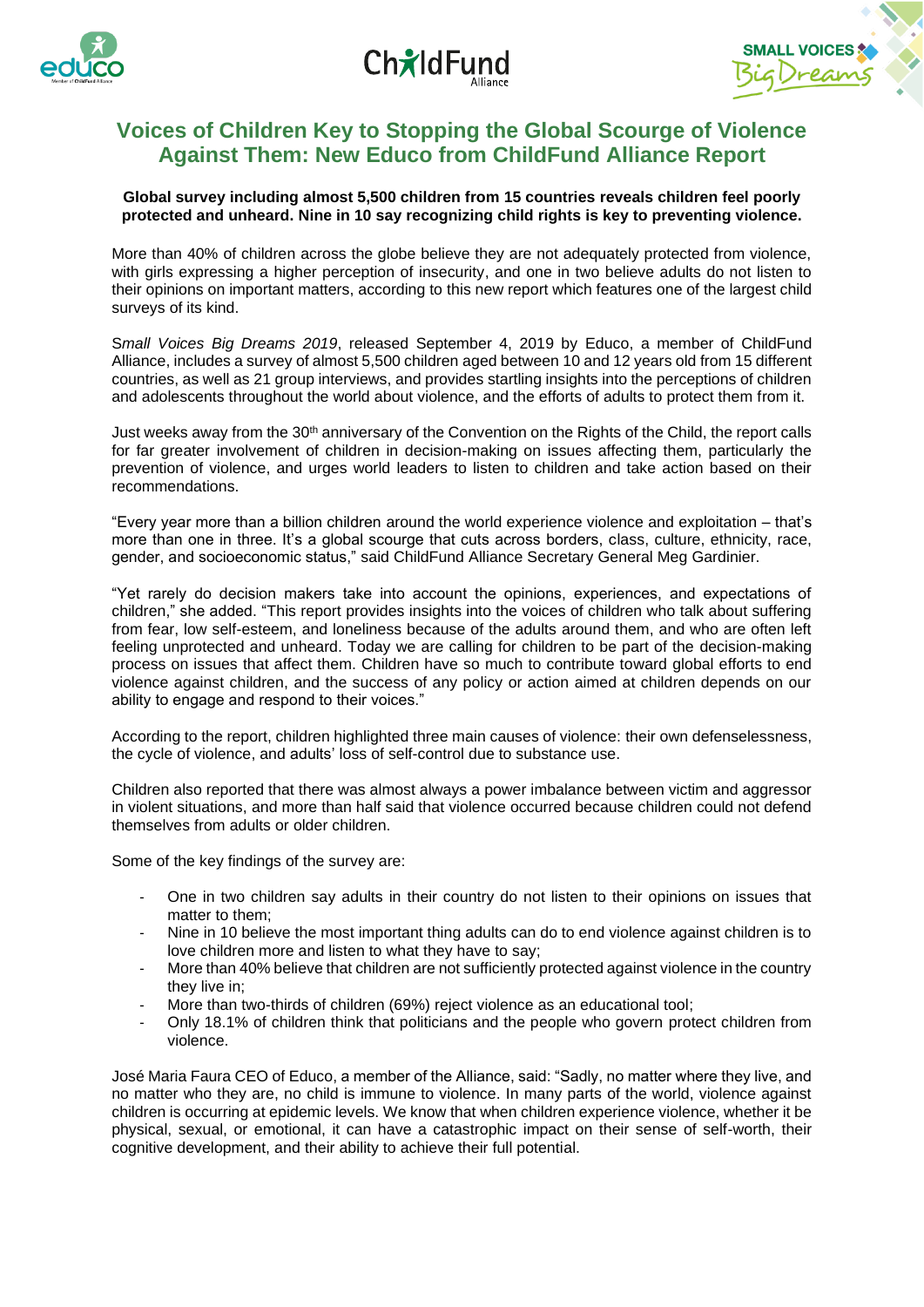





# **Voices of Children Key to Stopping the Global Scourge of Violence Against Them: New Educo from ChildFund Alliance Report**

## **Global survey including almost 5,500 children from 15 countries reveals children feel poorly protected and unheard. Nine in 10 say recognizing child rights is key to preventing violence.**

More than 40% of children across the globe believe they are not adequately protected from violence, with girls expressing a higher perception of insecurity, and one in two believe adults do not listen to their opinions on important matters, according to this new report which features one of the largest child surveys of its kind.

S*mall Voices Big Dreams 2019*, released September 4, 2019 by Educo, a member of ChildFund Alliance, includes a survey of almost 5,500 children aged between 10 and 12 years old from 15 different countries, as well as 21 group interviews, and provides startling insights into the perceptions of children and adolescents throughout the world about violence, and the efforts of adults to protect them from it.

Just weeks away from the 30<sup>th</sup> anniversary of the Convention on the Rights of the Child, the report calls for far greater involvement of children in decision-making on issues affecting them, particularly the prevention of violence, and urges world leaders to listen to children and take action based on their recommendations.

"Every year more than a billion children around the world experience violence and exploitation – that's more than one in three. It's a global scourge that cuts across borders, class, culture, ethnicity, race, gender, and socioeconomic status," said ChildFund Alliance Secretary General Meg Gardinier.

"Yet rarely do decision makers take into account the opinions, experiences, and expectations of children," she added. "This report provides insights into the voices of children who talk about suffering from fear, low self-esteem, and loneliness because of the adults around them, and who are often left feeling unprotected and unheard. Today we are calling for children to be part of the decision-making process on issues that affect them. Children have so much to contribute toward global efforts to end violence against children, and the success of any policy or action aimed at children depends on our ability to engage and respond to their voices."

According to the report, children highlighted three main causes of violence: their own defenselessness, the cycle of violence, and adults' loss of self-control due to substance use.

Children also reported that there was almost always a power imbalance between victim and aggressor in violent situations, and more than half said that violence occurred because children could not defend themselves from adults or older children.

Some of the key findings of the survey are:

- One in two children say adults in their country do not listen to their opinions on issues that matter to them;
- Nine in 10 believe the most important thing adults can do to end violence against children is to love children more and listen to what they have to say;
- More than 40% believe that children are not sufficiently protected against violence in the country they live in;
- More than two-thirds of children (69%) reject violence as an educational tool;
- Only 18.1% of children think that politicians and the people who govern protect children from violence.

José Maria Faura CEO of Educo, a member of the Alliance, said: "Sadly, no matter where they live, and no matter who they are, no child is immune to violence. In many parts of the world, violence against children is occurring at epidemic levels. We know that when children experience violence, whether it be physical, sexual, or emotional, it can have a catastrophic impact on their sense of self-worth, their cognitive development, and their ability to achieve their full potential.